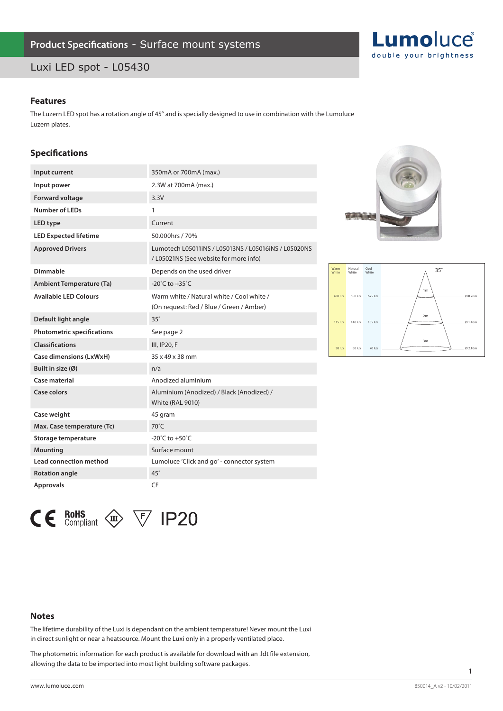## Luxi LED spot - L05430



### **Features**

The Luzern LED spot has a rotation angle of 45° and is specially designed to use in combination with the Lumoluce Luzern plates.

### **Specifications**

| Input current                     | 350mA or 700mA (max.)                                                                         |
|-----------------------------------|-----------------------------------------------------------------------------------------------|
| Input power                       | 2.3W at 700mA (max.)                                                                          |
| <b>Forward voltage</b>            | 3.3V                                                                                          |
| <b>Number of LEDs</b>             | 1                                                                                             |
| LED type                          | Current                                                                                       |
| <b>LED Expected lifetime</b>      | 50.000hrs / 70%                                                                               |
| <b>Approved Drivers</b>           | Lumotech L05011iNS / L05013NS / L05016iNS / L05020NS<br>/L05021NS (See website for more info) |
| Dimmable                          | Depends on the used driver                                                                    |
| <b>Ambient Temperature (Ta)</b>   | -20 $^{\circ}$ C to +35 $^{\circ}$ C                                                          |
| <b>Available LED Colours</b>      | Warm white / Natural white / Cool white /<br>(On request: Red / Blue / Green / Amber)         |
| Default light angle               | $35^\circ$                                                                                    |
| <b>Photometric specifications</b> | See page 2                                                                                    |
| <b>Classifications</b>            | III, IP20, F                                                                                  |
| <b>Case dimensions (LxWxH)</b>    | 35 x 49 x 38 mm                                                                               |
| Built in size (Ø)                 | n/a                                                                                           |
| Case material                     | Anodized aluminium                                                                            |
| Case colors                       | Aluminium (Anodized) / Black (Anodized) /<br><b>White (RAL 9010)</b>                          |
| Case weight                       | 45 gram                                                                                       |
| Max. Case temperature (Tc)        | 70°C                                                                                          |
| Storage temperature               | -20 $^{\circ}$ C to +50 $^{\circ}$ C                                                          |
| <b>Mounting</b>                   | Surface mount                                                                                 |
| <b>Lead connection method</b>     | Lumoluce 'Click and go' - connector system                                                    |
| <b>Rotation angle</b>             | $45^\circ$                                                                                    |
| <b>Approvals</b>                  | <b>CE</b>                                                                                     |





 $\mathsf{CE}$  RoHS Compliant  $\textcircled{2}$   $\forall$  IP20

### **Notes**

The lifetime durability of the Luxi is dependant on the ambient temperature! Never mount the Luxi in direct sunlight or near a heatsource. Mount the Luxi only in a properly ventilated place.

The photometric information for each product is available for download with an .ldt file extension, allowing the data to be imported into most light building software packages.